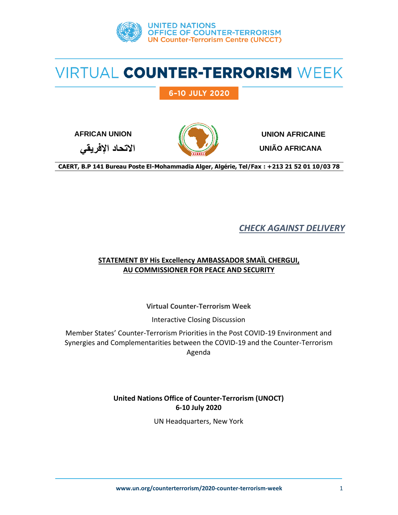

## 6-10 JULY 2020



**AFRICAN UNION UNION AFRICAINE**

**UNIÃO AFRICANA**

**االتحاد اإلفريقي**

**CAERT, B.P 141 Bureau Poste El-Mohammadia Alger, Algérie, Tel/Fax : +213 21 52 01 10/03 78**

*CHECK AGAINST DELIVERY*

### **STATEMENT BY His Excellency AMBASSADOR SMAÏL CHERGUI, AU COMMISSIONER FOR PEACE AND SECURITY**

**Virtual Counter-Terrorism Week**

Interactive Closing Discussion

Member States' Counter-Terrorism Priorities in the Post COVID-19 Environment and Synergies and Complementarities between the COVID-19 and the Counter-Terrorism Agenda

> **United Nations Office of Counter-Terrorism (UNOCT) 6-10 July 2020**

> > UN Headquarters, New York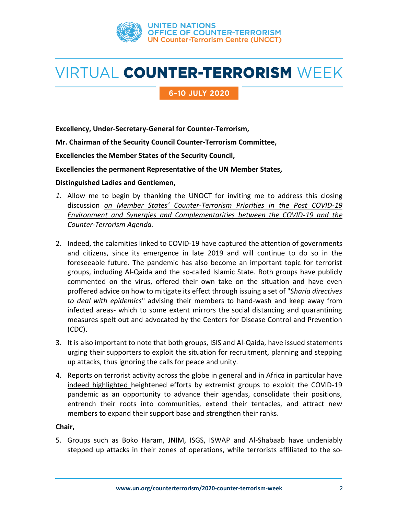

### 6-10 JULY 2020

**Excellency, Under-Secretary-General for Counter-Terrorism,** 

**Mr. Chairman of the Security Council Counter-Terrorism Committee,**

**Excellencies the Member States of the Security Council,**

**Excellencies the permanent Representative of the UN Member States,**

#### **Distinguished Ladies and Gentlemen,**

- *1.* Allow me to begin by thanking the UNOCT for inviting me to address this closing discussion *on Member States' Counter-Terrorism Priorities in the Post COVID-19 Environment and Synergies and Complementarities between the COVID-19 and the Counter-Terrorism Agenda.*
- 2. Indeed, the calamities linked to COVID-19 have captured the attention of governments and citizens, since its emergence in late 2019 and will continue to do so in the foreseeable future. The pandemic has also become an important topic for terrorist groups, including Al-Qaida and the so-called Islamic State. Both groups have publicly commented on the virus, offered their own take on the situation and have even proffered advice on how to mitigate its effect through issuing a set of "*Sharia directives to deal with epidemics*" advising their members to hand-wash and keep away from infected areas- which to some extent mirrors the social distancing and quarantining measures spelt out and advocated by the Centers for Disease Control and Prevention (CDC).
- 3. It is also important to note that both groups, ISIS and Al-Qaida, have issued statements urging their supporters to exploit the situation for recruitment, planning and stepping up attacks, thus ignoring the calls for peace and unity.
- 4. Reports on terrorist activity across the globe in general and in Africa in particular have indeed highlighted heightened efforts by extremist groups to exploit the COVID-19 pandemic as an opportunity to advance their agendas, consolidate their positions, entrench their roots into communities, extend their tentacles, and attract new members to expand their support base and strengthen their ranks.

#### **Chair,**

5. Groups such as Boko Haram, JNIM, ISGS, ISWAP and Al-Shabaab have undeniably stepped up attacks in their zones of operations, while terrorists affiliated to the so-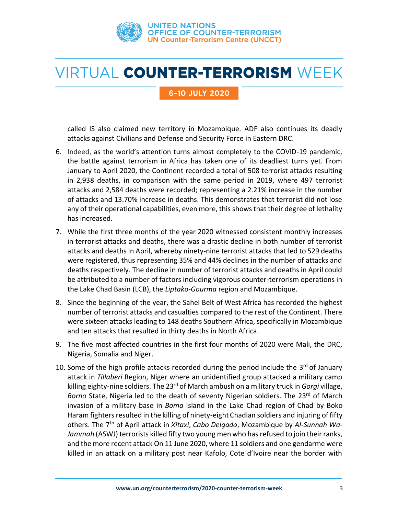

### 6-10 JULY 2020

called IS also claimed new territory in Mozambique. ADF also continues its deadly attacks against Civilians and Defense and Security Force in Eastern DRC.

- 6. Indeed, as the world's attention turns almost completely to the COVID-19 pandemic, the battle against terrorism in Africa has taken one of its deadliest turns yet. From January to April 2020, the Continent recorded a total of 508 terrorist attacks resulting in 2,938 deaths, in comparison with the same period in 2019, where 497 terrorist attacks and 2,584 deaths were recorded; representing a 2.21% increase in the number of attacks and 13.70% increase in deaths. This demonstrates that terrorist did not lose any of their operational capabilities, even more, this shows that their degree of lethality has increased.
- 7. While the first three months of the year 2020 witnessed consistent monthly increases in terrorist attacks and deaths, there was a drastic decline in both number of terrorist attacks and deaths in April, whereby ninety-nine terrorist attacks that led to 529 deaths were registered, thus representing 35% and 44% declines in the number of attacks and deaths respectively. The decline in number of terrorist attacks and deaths in April could be attributed to a number of factors including vigorous counter-terrorism operations in the Lake Chad Basin (LCB), the *Liptako-Gourma* region and Mozambique.
- 8. Since the beginning of the year, the Sahel Belt of West Africa has recorded the highest number of terrorist attacks and casualties compared to the rest of the Continent. There were sixteen attacks leading to 148 deaths Southern Africa, specifically in Mozambique and ten attacks that resulted in thirty deaths in North Africa.
- 9. The five most affected countries in the first four months of 2020 were Mali, the DRC, Nigeria, Somalia and Niger.
- 10. Some of the high profile attacks recorded during the period include the 3<sup>rd</sup> of January attack in *Tillaberi* Region, Niger where an unidentified group attacked a military camp killing eighty-nine soldiers. The 23rd of March ambush on a military truck in *Gorgi* village, Borno State, Nigeria led to the death of seventy Nigerian soldiers. The 23<sup>rd</sup> of March invasion of a military base in *Boma* Island in the Lake Chad region of Chad by Boko Haram fighters resulted in the killing of ninety-eight Chadian soldiers and injuring of fifty others. The 7th of April attack in *Xitaxi*, *Cabo Delgado*, Mozambique by *Al-Sunnah Wa-Jammah* (ASWJ) terrorists killed fifty two young men who has refused to join their ranks, and the more recent attack On 11 June 2020, where 11 soldiers and one gendarme were killed in an attack on a military post near Kafolo, Cote d'Ivoire near the border with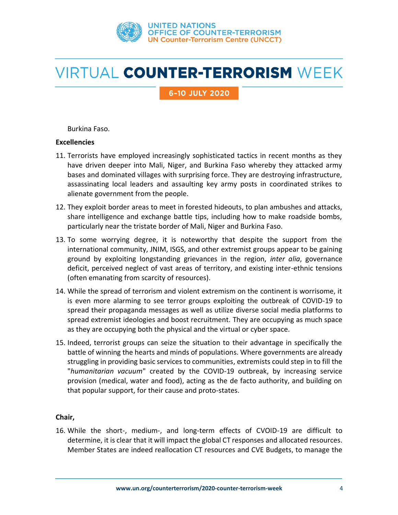

6-10 JULY 2020

Burkina Faso.

#### **Excellencies**

- 11. Terrorists have employed increasingly sophisticated tactics in recent months as they have driven deeper into Mali, Niger, and Burkina Faso whereby they attacked army bases and dominated villages with surprising force. They are destroying infrastructure, assassinating local leaders and assaulting key army posts in coordinated strikes to alienate government from the people.
- 12. They exploit border areas to meet in forested hideouts, to plan ambushes and attacks, share intelligence and exchange battle tips, including how to make roadside bombs, particularly near the tristate border of Mali, Niger and Burkina Faso.
- 13. To some worrying degree, it is noteworthy that despite the support from the international community, JNIM, ISGS, and other extremist groups appear to be gaining ground by exploiting longstanding grievances in the region, *inter alia*, governance deficit, perceived neglect of vast areas of territory, and existing inter-ethnic tensions (often emanating from scarcity of resources).
- 14. While the spread of terrorism and violent extremism on the continent is worrisome, it is even more alarming to see terror groups exploiting the outbreak of COVID-19 to spread their propaganda messages as well as utilize diverse social media platforms to spread extremist ideologies and boost recruitment. They are occupying as much space as they are occupying both the physical and the virtual or cyber space.
- 15. Indeed, terrorist groups can seize the situation to their advantage in specifically the battle of winning the hearts and minds of populations. Where governments are already struggling in providing basic services to communities, extremists could step in to fill the "*humanitarian vacuum*" created by the COVID-19 outbreak, by increasing service provision (medical, water and food), acting as the de facto authority, and building on that popular support, for their cause and proto-states.

### **Chair,**

16. While the short-, medium-, and long-term effects of CVOID-19 are difficult to determine, it is clear that it will impact the global CT responses and allocated resources. Member States are indeed reallocation CT resources and CVE Budgets, to manage the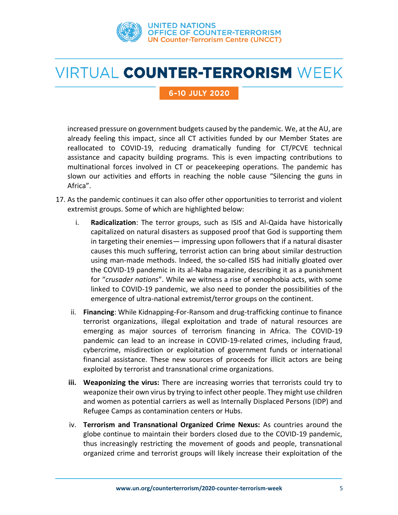

### 6-10 JULY 2020

increased pressure on government budgets caused by the pandemic. We, at the AU, are already feeling this impact, since all CT activities funded by our Member States are reallocated to COVID-19, reducing dramatically funding for CT/PCVE technical assistance and capacity building programs. This is even impacting contributions to multinational forces involved in CT or peacekeeping operations. The pandemic has slown our activities and efforts in reaching the noble cause "Silencing the guns in Africa".

- 17. As the pandemic continues it can also offer other opportunities to terrorist and violent extremist groups. Some of which are highlighted below:
	- i. **Radicalization**: The terror groups, such as ISIS and Al-Qaida have historically capitalized on natural disasters as supposed proof that God is supporting them in targeting their enemies— impressing upon followers that if a natural disaster causes this much suffering, terrorist action can bring about similar destruction using man-made methods. Indeed, the so-called ISIS had initially gloated over the COVID-19 pandemic in its al-Naba magazine, describing it as a punishment for "*crusader nations*". While we witness a rise of xenophobia acts, with some linked to COVID-19 pandemic, we also need to ponder the possibilities of the emergence of ultra-national extremist/terror groups on the continent.
	- ii. **Financing**: While Kidnapping-For-Ransom and drug-trafficking continue to finance terrorist organizations, illegal exploitation and trade of natural resources are emerging as major sources of terrorism financing in Africa. The COVID-19 pandemic can lead to an increase in COVID-19-related crimes, including fraud, cybercrime, misdirection or exploitation of government funds or international financial assistance. These new sources of proceeds for illicit actors are being exploited by terrorist and transnational crime organizations.
	- **iii. Weaponizing the virus:** There are increasing worries that terrorists could try to weaponize their own virus by trying to infect other people. They might use children and women as potential carriers as well as Internally Displaced Persons (IDP) and Refugee Camps as contamination centers or Hubs.
	- iv. **Terrorism and Transnational Organized Crime Nexus:** As countries around the globe continue to maintain their borders closed due to the COVID-19 pandemic, thus increasingly restricting the movement of goods and people, transnational organized crime and terrorist groups will likely increase their exploitation of the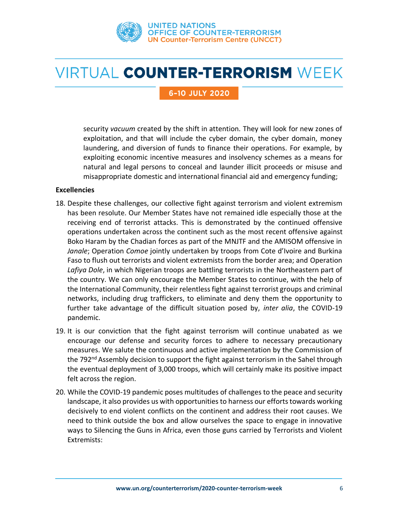

### 6-10 JULY 2020

security *vacuum* created by the shift in attention. They will look for new zones of exploitation, and that will include the cyber domain, the cyber domain, money laundering, and diversion of funds to finance their operations. For example, by exploiting economic incentive measures and insolvency schemes as a means for natural and legal persons to conceal and launder illicit proceeds or misuse and misappropriate domestic and international financial aid and emergency funding;

#### **Excellencies**

- 18. Despite these challenges, our collective fight against terrorism and violent extremism has been resolute. Our Member States have not remained idle especially those at the receiving end of terrorist attacks. This is demonstrated by the continued offensive operations undertaken across the continent such as the most recent offensive against Boko Haram by the Chadian forces as part of the MNJTF and the AMISOM offensive in *Janale*; Operation *Comoe* jointly undertaken by troops from Cote d'Ivoire and Burkina Faso to flush out terrorists and violent extremists from the border area; and Operation *Lafiya Dole*, in which Nigerian troops are battling terrorists in the Northeastern part of the country. We can only encourage the Member States to continue, with the help of the International Community, their relentless fight against terrorist groups and criminal networks, including drug traffickers, to eliminate and deny them the opportunity to further take advantage of the difficult situation posed by, *inter alia*, the COVID-19 pandemic.
- 19. It is our conviction that the fight against terrorism will continue unabated as we encourage our defense and security forces to adhere to necessary precautionary measures. We salute the continuous and active implementation by the Commission of the 792<sup>nd</sup> Assembly decision to support the fight against terrorism in the Sahel through the eventual deployment of 3,000 troops, which will certainly make its positive impact felt across the region.
- 20. While the COVID-19 pandemic poses multitudes of challenges to the peace and security landscape, it also provides us with opportunities to harness our efforts towards working decisively to end violent conflicts on the continent and address their root causes. We need to think outside the box and allow ourselves the space to engage in innovative ways to Silencing the Guns in Africa, even those guns carried by Terrorists and Violent Extremists: